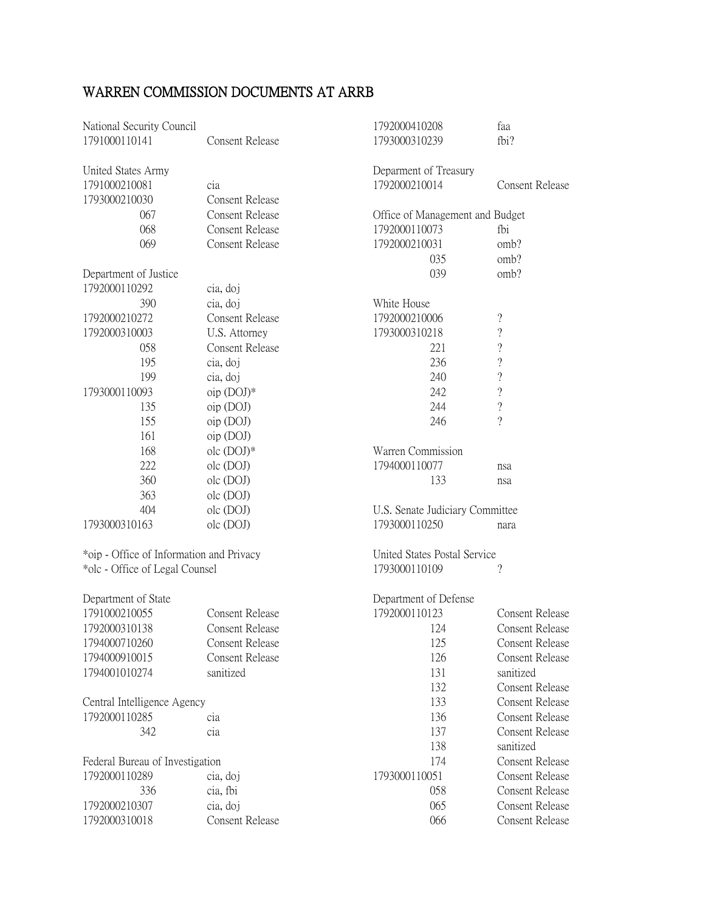| National Security Council                |                        | 1792000410208                   | faa                      |
|------------------------------------------|------------------------|---------------------------------|--------------------------|
| 1791000110141                            | Consent Release        | 1793000310239                   | fbi?                     |
| United States Army                       |                        | Deparment of Treasury           |                          |
| 1791000210081                            | cia                    | 1792000210014                   | <b>Consent Release</b>   |
| 1793000210030                            | <b>Consent Release</b> |                                 |                          |
| 067                                      | <b>Consent Release</b> | Office of Management and Budget |                          |
| 068                                      | <b>Consent Release</b> | 1792000110073                   | fbi                      |
| 069                                      | <b>Consent Release</b> | 1792000210031                   | omb?                     |
|                                          |                        | 035                             | omb?                     |
| Department of Justice                    |                        | 039                             | omb?                     |
| 1792000110292                            | cia, doj               |                                 |                          |
| 390                                      | cia, doj               | White House                     |                          |
| 1792000210272                            | <b>Consent Release</b> | 1792000210006                   | $\overline{\mathcal{C}}$ |
| 1792000310003                            | U.S. Attorney          | 1793000310218                   | $\overline{\mathcal{C}}$ |
| 058                                      | <b>Consent Release</b> | 221                             | $\ddot{?}$               |
| 195                                      | cia, doj               | 236                             | $\overline{\mathcal{C}}$ |
| 199                                      | cia, doj               | 240                             | $\ddot{?}$               |
| 1793000110093                            | $oip$ (DOJ) $*$        | 242                             | $\overline{\mathcal{L}}$ |
| 135                                      | oip (DOJ)              | 244                             | $\overline{\mathcal{L}}$ |
| 155                                      | oip (DOJ)              | 246                             | $\overline{?}$           |
| 161                                      | oip (DOJ)              |                                 |                          |
| 168                                      | $olc$ (DOJ) $*$        | Warren Commission               |                          |
| 222                                      | olc (DOJ)              | 1794000110077                   | nsa                      |
| 360                                      | olc (DOJ)              | 133                             | nsa                      |
| 363                                      | olc (DOJ)              |                                 |                          |
| 404                                      | olc (DOJ)              | U.S. Senate Judiciary Committee |                          |
| 1793000310163                            | olc (DOJ)              | 1793000110250                   | nara                     |
| *oip - Office of Information and Privacy |                        | United States Postal Service    |                          |
| *olc - Office of Legal Counsel           |                        | 1793000110109<br>?              |                          |
| Department of State                      |                        | Department of Defense           |                          |
| 1791000210055                            | <b>Consent Release</b> | 1792000110123                   | <b>Consent Release</b>   |
| 1792000310138                            | Consent Release        | 124                             | Consent Release          |
| 1794000710260                            | <b>Consent Release</b> | 125                             | <b>Consent Release</b>   |
| 1794000910015                            | <b>Consent Release</b> | 126                             | <b>Consent Release</b>   |
| 1794001010274                            | sanitized              | 131                             | sanitized                |
|                                          |                        | 132                             | <b>Consent Release</b>   |
| Central Intelligence Agency              |                        | 133                             | <b>Consent Release</b>   |
| 1792000110285                            | cia                    | 136                             | <b>Consent Release</b>   |
| 342                                      | cia                    | 137                             | <b>Consent Release</b>   |
|                                          |                        | 138                             | sanitized                |
| Federal Bureau of Investigation          |                        | 174                             | <b>Consent Release</b>   |
| 1792000110289                            | cia, doj               | 1793000110051                   | <b>Consent Release</b>   |
| 336                                      | cia, fbi               | 058                             | <b>Consent Release</b>   |
| 1792000210307                            | cia, doj               | 065                             | Consent Release          |
| 1792000310018                            | <b>Consent Release</b> | 066                             | <b>Consent Release</b>   |

## WARREN COMMISSION DOCUMENTS AT ARRB